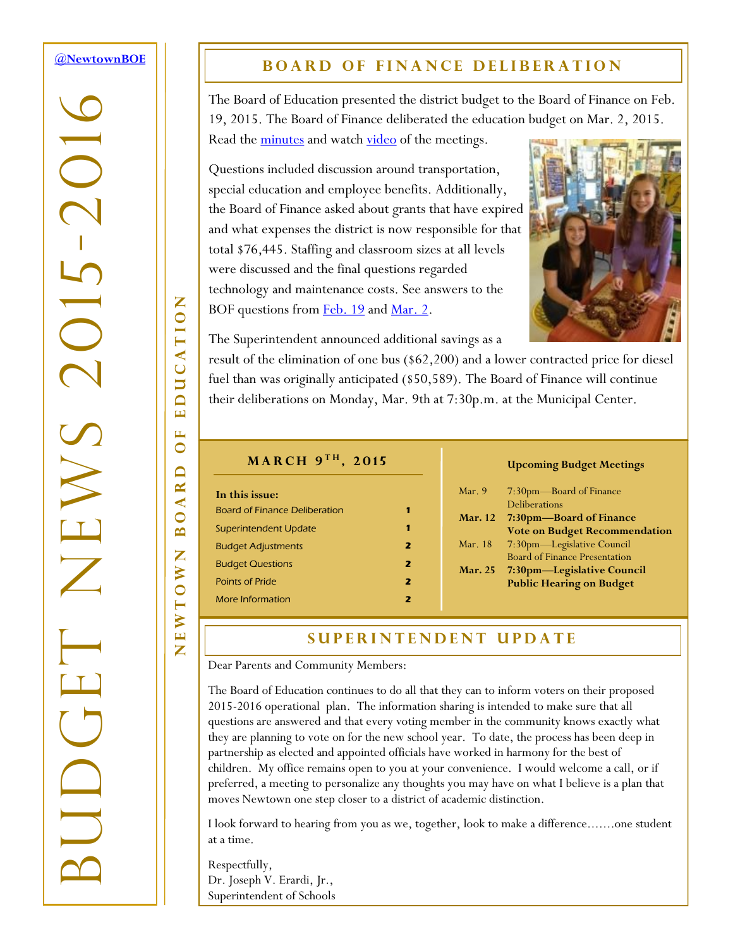#### <span id="page-0-0"></span>**[@NewtownBOE](http://tiny.cc/nboe1503n1t1)**

-2016

 $\overline{C}$ 

 $\sum$ 

BUDGET NEWS 2015

### **BOARD OF FINANCE DELIBERATION**

The Board of Education presented the district budget to the Board of Finance on Feb. 19, 2015. The Board of Finance deliberated the education budget on Mar. 2, 2015. Read the [minutes](http://tiny.cc/nboe1503n1fm) and watch [video](http://tiny.cc/nboe1503n1va2) of the meetings.

Questions included discussion around transportation, special education and employee benefits. Additionally, the Board of Finance asked about grants that have expired and what expenses the district is now responsible for that total \$76,445. Staffing and classroom sizes at all levels were discussed and the final questions regarded technology and maintenance costs. See answers to the BOF questions from **[Feb. 19](http://tiny.cc/nboe1503n1fq0219)** and <u>Mar. 2</u>.



The Superintendent announced additional savings as a

result of the elimination of one bus (\$62,200) and a lower contracted price for diesel fuel than was originally anticipated (\$50,589). The Board of Finance will continue their deliberations on Monday, Mar. 9th at 7:30p.m. at the Municipal Center.

### $M$ **ARCH** 9<sup>TH</sup>, 2015

| In this issue:                       |   |
|--------------------------------------|---|
| <b>Board of Finance Deliberation</b> |   |
| Superintendent Update                |   |
| <b>Budget Adjustments</b>            | 2 |
| <b>Budget Questions</b>              | 2 |
| <b>Points of Pride</b>               | 2 |
| More Information                     |   |

#### **Upcoming Budget Meetings**

| Mar. $9$       | 7:30pm—Board of Finance              |
|----------------|--------------------------------------|
|                | Deliberations                        |
| <b>Mar.</b> 12 | 7:30pm-Board of Finance              |
|                | <b>Vote on Budget Recommendation</b> |
| Mar. 18        | 7:30pm—Legislative Council           |
|                | <b>Board of Finance Presentation</b> |
| <b>Mar. 25</b> | 7:30pm—Legislative Council           |
|                | <b>Public Hearing on Budget</b>      |
|                |                                      |

### **SUPERINTENDENT UPDATE**

Dear Parents and Community Members:

The Board of Education continues to do all that they can to inform voters on their proposed 2015-2016 operational plan. The information sharing is intended to make sure that all questions are answered and that every voting member in the community knows exactly what they are planning to vote on for the new school year. To date, the process has been deep in partnership as elected and appointed officials have worked in harmony for the best of children. My office remains open to you at your convenience. I would welcome a call, or if preferred, a meeting to personalize any thoughts you may have on what I believe is a plan that moves Newtown one step closer to a district of academic distinction.

I look forward to hearing from you as we, together, look to make a difference.......one student at a time.

Respectfully, Dr. Joseph V. Erardi, Jr., Superintendent of Schools

EDUCATION NEWTOWN BOARD OF EDUCATION E  $\bullet$  $\Box$  $\propto$  $\overline{\mathbf{A}}$  $\overline{\mathbf{C}}$  $\mathbf{\underline{m}}$ Z **EWTOW** 

Z